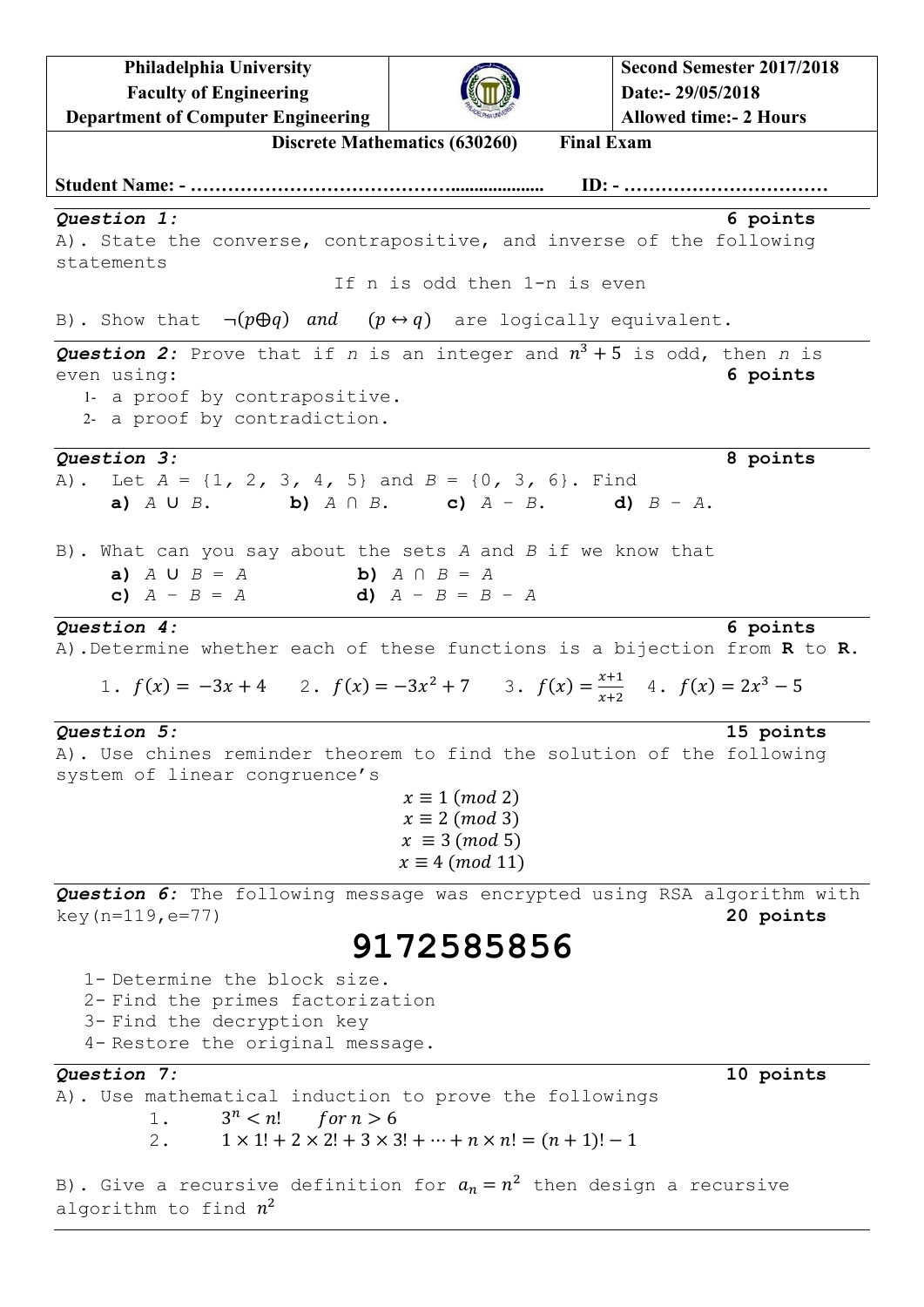**Philadelphia University Faculty of Engineering Department of Computer Engineering**



**Discrete Mathematics (630260) Final Exam Student Name: - …………………………………….................... ID: - ……………………………** *Question 1:* **6 points** A). State the converse, contrapositive, and inverse of the following statements If n is odd then 1-n is even B). Show that  $\neg ( p \oplus q )$  and  $( p \leftrightarrow q )$  are logically equivalent. Question 2: Prove that if  $n$  is an integer and  $n^3 + 5$  is odd, then  $n$  is even using: **6 points** 1- a proof by contrapositive. 2- a proof by contradiction. *Question 3:* **8 points** A). Let *A* = {1*,* 2*,* 3*,* 4*,* 5} and *B* = {0*,* 3*,* 6}. Find **a)** *A* ∪ *B*. **b)** *A* ∩ *B*. **c)** *A* − *B*. **d)** *B* − *A*. B). What can you say about the sets *A* and *B* if we know that **a**) *A* ∪ *B* = *A* **b**) *A* ∩ *B* = *A*<br> **a**)  $\frac{a}{2}$  = *B* = *A* **c)** *A* − *B* = *A* **d)** *A* − *B* = *B* – *A Question 4:* **6 points** A).Determine whether each of these functions is a bijection from **R** to **R**. 1.  $f(x) = -3x + 4$  2.  $f(x) = -3x^2 + 7$  3.  $f(x) = \frac{x}{x}$  $\frac{x+1}{x+2}$  4.  $f(x) = 2x^3$ *Question 5:* **15 points** A). Use chines reminder theorem to find the solution of the following system of linear congruence's  $x \equiv 1 \pmod{2}$  $x \equiv 2 \pmod{3}$  $x \equiv 3 \pmod{5}$  $x \equiv 4 \pmod{11}$ *Question 6:* The following message was encrypted using RSA algorithm with key(n=119,e=77) **20 points 9172585856** 1- Determine the block size. 2- Find the primes factorization 3- Find the decryption key 4- Restore the original message. *Question 7:* **10 points** A). Use mathematical induction to prove the followings 1.  $3^n < n!$  for  $n > 6$ 2.  $1 \times 1! + 2 \times 2! + 3 \times 3! + \dots + n \times n! = (n + 1)! - 1$ 

B). Give a recursive definition for  $a_n = n^2$  then design a recursive algorithm to find  $n^2$